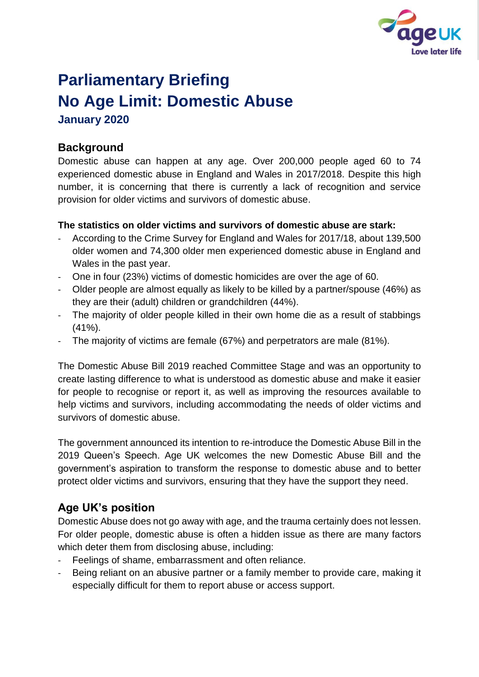

# **Parliamentary Briefing No Age Limit: Domestic Abuse January 2020**

## **Background**

Domestic abuse can happen at any age. Over 200,000 people aged 60 to 74 experienced domestic abuse in England and Wales in 2017/2018. Despite this high number, it is concerning that there is currently a lack of recognition and service provision for older victims and survivors of domestic abuse.

#### **The statistics on older victims and survivors of domestic abuse are stark:**

- According to the Crime Survey for England and Wales for 2017/18, about 139,500 older women and 74,300 older men experienced domestic abuse in England and Wales in the past year.
- One in four (23%) victims of domestic homicides are over the age of 60.
- Older people are almost equally as likely to be killed by a partner/spouse (46%) as they are their (adult) children or grandchildren (44%).
- The majority of older people killed in their own home die as a result of stabbings (41%).
- The majority of victims are female (67%) and perpetrators are male (81%).

The Domestic Abuse Bill 2019 reached Committee Stage and was an opportunity to create lasting difference to what is understood as domestic abuse and make it easier for people to recognise or report it, as well as improving the resources available to help victims and survivors, including accommodating the needs of older victims and survivors of domestic abuse.

The government announced its intention to re-introduce the Domestic Abuse Bill in the 2019 Queen's Speech. Age UK welcomes the new Domestic Abuse Bill and the government's aspiration to transform the response to domestic abuse and to better protect older victims and survivors, ensuring that they have the support they need.

# **Age UK's position**

Domestic Abuse does not go away with age, and the trauma certainly does not lessen. For older people, domestic abuse is often a hidden issue as there are many factors which deter them from disclosing abuse, including:

- Feelings of shame, embarrassment and often reliance.
- Being reliant on an abusive partner or a family member to provide care, making it especially difficult for them to report abuse or access support.